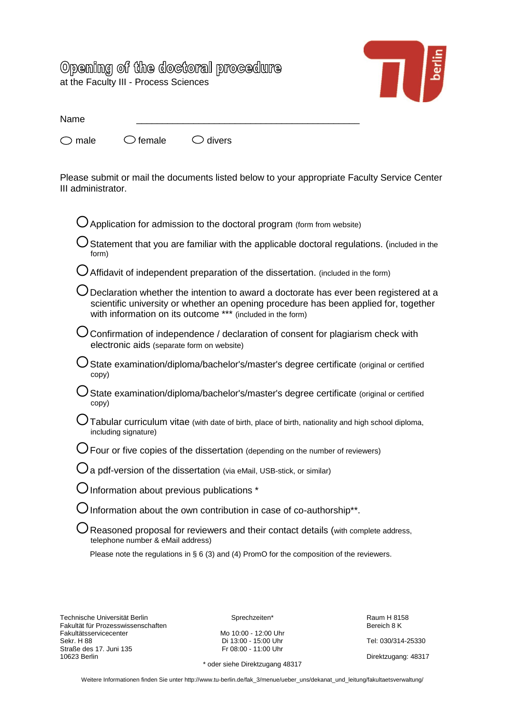## Opening of the doctoral procedure at the Faculty III - Process Sciences



| Name |                                                     |  |  |
|------|-----------------------------------------------------|--|--|
|      | $\bigcirc$ male $\bigcirc$ female $\bigcirc$ divers |  |  |

Please submit or mail the documents listed below to your appropriate Faculty Service Center III administrator.

Please note the regulations in § 6 (3) and (4) PromO for the composition of the reviewers.

Technische Universität Berlin Sprechzeiten\* Sprechzeiten\* Fakultät für Prozesswissenschaften Sprechzeiten Sprechzeiten Sprechzeiten Sprechzeiten Sprechzeiten Sprechzeiten Sprechzeiten Sprechzeiten Sprechzeiten Spreich Spre Fakultät für Prozesswissenschaften Fakultätsservicecenter<br>Sekr. H 88 Straße des 17. Juni 135<br>10623 Berlin

Mo 10:00 - 12:00 Uhr<br>
Di 13:00 - 15:00 Uhr<br>
Fr 08:00 - 11:00 Uhr<br>
Tel: 030/314-25330

\* oder siehe Direktzugang 48317

Direktzugang: 48317

Weitere Informationen finden Sie unter http://www.tu-berlin.de/fak\_3/menue/ueber\_uns/dekanat\_und\_leitung/fakultaetsverwaltung/